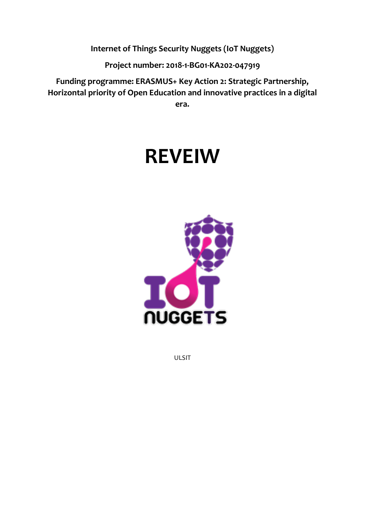**Internet of Things Security Nuggets (IoT Nuggets)**

**Project number: 2018-1-BG01-KA202-047919** 

**Funding programme: ERASMUS+ Key Action 2: Strategic Partnership, Horizontal priority of Open Education and innovative practices in a digital era.** 

# **REVEIW**



ULSIT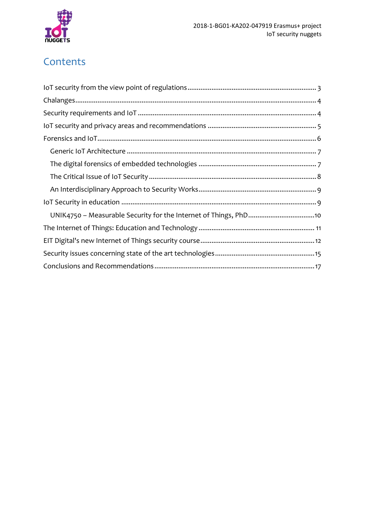

# **Contents**

<span id="page-1-0"></span>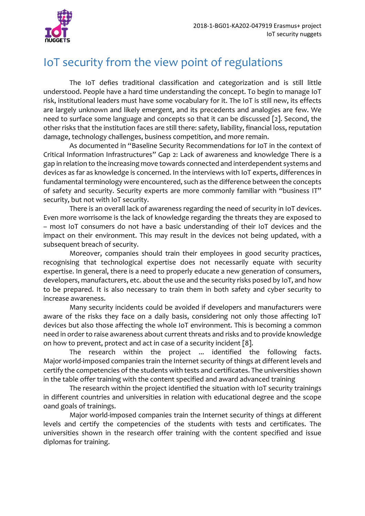

# IoT security from the view point of regulations

The IoT defies traditional classification and categorization and is still little understood. People have a hard time understanding the concept. To begin to manage IoT risk, institutional leaders must have some vocabulary for it. The IoT is still new, its effects are largely unknown and likely emergent, and its precedents and analogies are few. We need to surface some language and concepts so that it can be discussed [2]. Second, the other risks that the institution faces are still there: safety, liability, financial loss, reputation damage, technology challenges, business competition, and more remain.

As documented in "Baseline Security Recommendations for IoT in the context of Critical Information Infrastructures" Gap 2: Lack of awareness and knowledge There is a gap in relation to the increasing move towards connected and interdependent systems and devices as far as knowledge is concerned. In the interviews with IoT experts, differences in fundamental terminology were encountered, such as the difference between the concepts of safety and security. Security experts are more commonly familiar with "business IT" security, but not with IoT security.

There is an overall lack of awareness regarding the need of security in IoT devices. Even more worrisome is the lack of knowledge regarding the threats they are exposed to – most IoT consumers do not have a basic understanding of their IoT devices and the impact on their environment. This may result in the devices not being updated, with a subsequent breach of security.

Moreover, companies should train their employees in good security practices, recognising that technological expertise does not necessarily equate with security expertise. In general, there is a need to properly educate a new generation of consumers, developers, manufacturers, etc. about the use and the security risks posed by IoT, and how to be prepared. It is also necessary to train them in both safety and cyber security to increase awareness.

Many security incidents could be avoided if developers and manufacturers were aware of the risks they face on a daily basis, considering not only those affecting IoT devices but also those affecting the whole IoT environment. This is becoming a common need in order to raise awareness about current threats and risks and to provide knowledge on how to prevent, protect and act in case of a security incident [8].

The research within the project ... identified the following facts. Major world-imposed companies train the Internet security of things at different levels and certify the competencies of the students with tests and certificates. The universities shown in the table offer training with the content specified and award advanced training

The research within the project identified the situation with IoT security trainings in different countries and universities in relation with educational degree and the scope oand goals of trainings.

Major world-imposed companies train the Internet security of things at different levels and certify the competencies of the students with tests and certificates. The universities shown in the research offer training with the content specified and issue diplomas for training.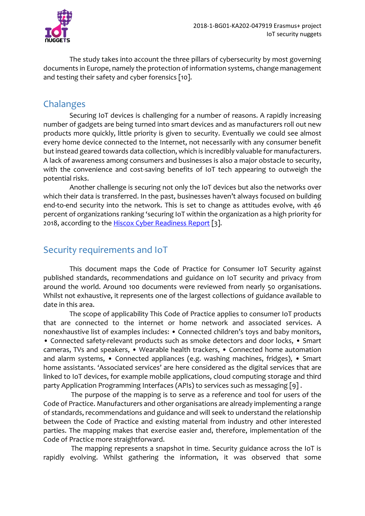

The study takes into account the three pillars of cybersecurity by most governing documents in Europe, namely the protection of information systems, change management and testing their safety and cyber forensics [10].

# <span id="page-3-0"></span>**Chalanges**

Securing IoT devices is challenging for a number of reasons. A rapidly increasing number of gadgets are being turned into smart devices and as manufacturers roll out new products more quickly, little priority is given to security. Eventually we could see almost every home device connected to the Internet, not necessarily with any consumer benefit but instead geared towards data collection, which is incredibly valuable for manufacturers. A lack of awareness among consumers and businesses is also a major obstacle to security, with the convenience and cost-saving benefits of IoT tech appearing to outweigh the potential risks.

Another challenge is securing not only the IoT devices but also the networks over which their data is transferred. In the past, businesses haven't always focused on building end-to-end security into the network. This is set to change as attitudes evolve, with 46 percent of organizations ranking 'securing IoT within the organization as a high priority for 2018, according to the [Hiscox Cyber Readiness Report](https://urldefense.proofpoint.com/v2/url?u=https-3A__www.hiscox.co.uk_sites_uk_files_documents_2018-2D02_Hiscox-5FCyber-5FReadiness-5FReport-5F2018-5FFINAL.PDF&d=DwMFAg&c=5oszCido4egZ9x-32Pvn-g&r=cYZ4mh4jPQP8Xn_9ANV2HFVpN3BKBoNJvfY9PyyBgW8&m=FzfcQsOOa1kIhs29Gh6YxWfxx3OArlUJnXOb4eIsLqE&s=xnLZ9sfk_wDIGIaQS4_jlMNg-TZ_E5Ar5UrjmBWTBmM&e=) [3].

# <span id="page-3-1"></span>Security requirements and IoT

This document maps the Code of Practice for Consumer IoT Security against published standards, recommendations and guidance on IoT security and privacy from around the world. Around 100 documents were reviewed from nearly 50 organisations. Whilst not exhaustive, it represents one of the largest collections of guidance available to date in this area.

The scope of applicability This Code of Practice applies to consumer IoT products that are connected to the internet or home network and associated services. A nonexhaustive list of examples includes: • Connected children's toys and baby monitors, • Connected safety-relevant products such as smoke detectors and door locks, • Smart cameras, TVs and speakers, • Wearable health trackers, • Connected home automation and alarm systems, • Connected appliances (e.g. washing machines, fridges), • Smart home assistants. 'Associated services' are here considered as the digital services that are linked to IoT devices, for example mobile applications, cloud computing storage and third party Application Programming Interfaces (APIs) to services such as messaging [9] .

The purpose of the mapping is to serve as a reference and tool for users of the Code of Practice. Manufacturers and other organisations are already implementing a range of standards, recommendations and guidance and will seek to understand the relationship between the Code of Practice and existing material from industry and other interested parties. The mapping makes that exercise easier and, therefore, implementation of the Code of Practice more straightforward.

The mapping represents a snapshot in time. Security guidance across the IoT is rapidly evolving. Whilst gathering the information, it was observed that some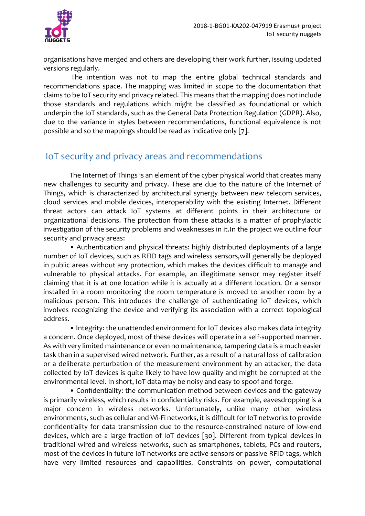

organisations have merged and others are developing their work further, issuing updated versions regularly.

The intention was not to map the entire global technical standards and recommendations space. The mapping was limited in scope to the documentation that claims to be IoT security and privacy related. This means that the mapping does not include those standards and regulations which might be classified as foundational or which underpin the IoT standards, such as the General Data Protection Regulation (GDPR). Also, due to the variance in styles between recommendations, functional equivalence is not possible and so the mappings should be read as indicative only [7].

## <span id="page-4-0"></span>IoT security and privacy areas and recommendations

The Internet of Things is an element of the cyber physical world that creates many new challenges to security and privacy. These are due to the nature of the Internet of Things, which is characterized by architectural synergy between new telecom services, cloud services and mobile devices, interoperability with the existing Internet. Different threat actors can attack IoT systems at different points in their architecture or organizational decisions. The protection from these attacks is a matter of prophylactic investigation of the security problems and weaknesses in it.In the project we outline four security and privacy areas:

• Authentication and physical threats: highly distributed deployments of a large number of IoT devices, such as RFID tags and wireless sensors,will generally be deployed in public areas without any protection, which makes the devices difficult to manage and vulnerable to physical attacks. For example, an illegitimate sensor may register itself claiming that it is at one location while it is actually at a different location. Or a sensor installed in a room monitoring the room temperature is moved to another room by a malicious person. This introduces the challenge of authenticating IoT devices, which involves recognizing the device and verifying its association with a correct topological address.

• Integrity: the unattended environment for IoT devices also makes data integrity a concern. Once deployed, most of these devices will operate in a self-supported manner. As with very limited maintenance or even no maintenance, tampering data is a much easier task than in a supervised wired network. Further, as a result of a natural loss of calibration or a deliberate perturbation of the measurement environment by an attacker, the data collected by IoT devices is quite likely to have low quality and might be corrupted at the environmental level. In short, IoT data may be noisy and easy to spoof and forge.

• Confidentiality: the communication method between devices and the gateway is primarily wireless, which results in confidentiality risks. For example, eavesdropping is a major concern in wireless networks. Unfortunately, unlike many other wireless environments, such as cellular and Wi-Fi networks, it is difficult for IoT networks to provide confidentiality for data transmission due to the resource-constrained nature of low-end devices, which are a large fraction of IoT devices [30]. Different from typical devices in traditional wired and wireless networks, such as smartphones, tablets, PCs and routers, most of the devices in future IoT networks are active sensors or passive RFID tags, which have very limited resources and capabilities. Constraints on power, computational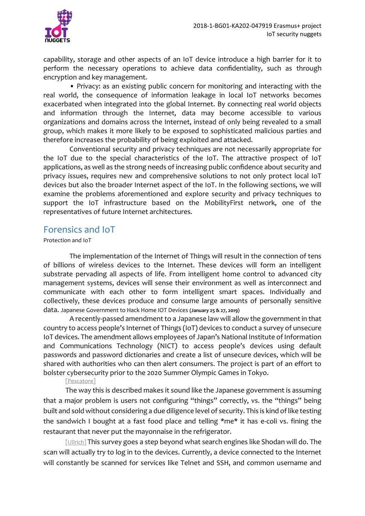

capability, storage and other aspects of an IoT device introduce a high barrier for it to perform the necessary operations to achieve data confidentiality, such as through encryption and key management.

• Privacy: as an existing public concern for monitoring and interacting with the real world, the consequence of information leakage in local IoT networks becomes exacerbated when integrated into the global Internet. By connecting real world objects and information through the Internet, data may become accessible to various organizations and domains across the Internet, instead of only being revealed to a small group, which makes it more likely to be exposed to sophisticated malicious parties and therefore increases the probability of being exploited and attacked.

Conventional security and privacy techniques are not necessarily appropriate for the IoT due to the special characteristics of the IoT. The attractive prospect of IoT applications, as well as the strong needs of increasing public confidence about security and privacy issues, requires new and comprehensive solutions to not only protect local IoT devices but also the broader Internet aspect of the IoT. In the following sections, we will examine the problems aforementioned and explore security and privacy techniques to support the IoT infrastructure based on the MobilityFirst network, one of the representatives of future Internet architectures.

## <span id="page-5-0"></span>Forensics and IoT

Protection and IoT

The implementation of the Internet of Things will result in the connection of tens of billions of wireless devices to the Internet. These devices will form an intelligent substrate pervading all aspects of life. From intelligent home control to advanced city management systems, devices will sense their environment as well as interconnect and communicate with each other to form intelligent smart spaces. Individually and collectively, these devices produce and consume large amounts of personally sensitive data. Japanese Government to Hack Home IOT Devices **(January 25 & 27, 2019)**

A recently-passed amendment to a Japanese law will allow the government in that country to access people's Internet of Things (IoT) devices to conduct a survey of unsecure IoT devices. The amendment allows employees of Japan's National Institute of Information and Communications Technology (NICT) to access people's devices using default passwords and password dictionaries and create a list of unsecure devices, which will be shared with authorities who can then alert consumers. The project is part of an effort to bolster cybersecurity prior to the 2020 Summer Olympic Games in Tokyo.

[\[Pescatore\]](https://www.sans.org/newsletters/newsbites/editorial-board#john-pescatore)

The way this is described makes it sound like the Japanese government is assuming that a major problem is users not configuring "things" correctly, vs. the "things" being built and sold without considering a due diligence level of security. This is kind of like testing the sandwich I bought at a fast food place and telling \*me\* it has e-coli vs. fining the restaurant that never put the mayonnaise in the refrigerator.

[\[Ullrich\]](https://www.sans.org/newsletters/newsbites/editorial-board#johannes-ullrich) This survey goes a step beyond what search engines like Shodan will do. The scan will actually try to log in to the devices. Currently, a device connected to the Internet will constantly be scanned for services like Telnet and SSH, and common username and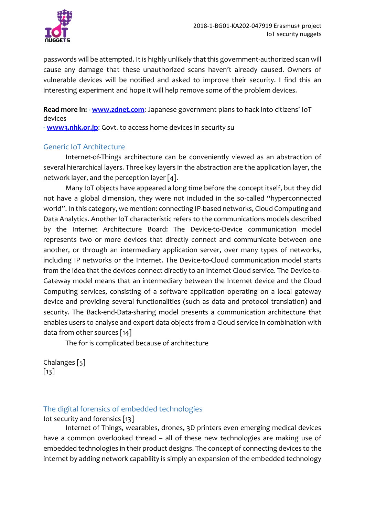

passwords will be attempted. It is highly unlikely that this government-authorized scan will cause any damage that these unauthorized scans haven't already caused. Owners of vulnerable devices will be notified and asked to improve their security. I find this an interesting experiment and hope it will help remove some of the problem devices.

**Read more in: - [www.zdnet.com](http://www.zdnet.com/article/japanese-government-plans-to-hack-into-citizens-iot-devices/)**: Japanese government plans to hack into citizens' IoT devices

**- [www3.nhk.or.jp](http://www3.nhk.or.jp/nhkworld/en/news/20190125_44/)**: Govt. to access home devices in security su

#### <span id="page-6-0"></span>Generic IoT Architecture

Internet-of-Things architecture can be conveniently viewed as an abstraction of several hierarchical layers. Three key layers in the abstraction are the application layer, the network layer, and the perception layer [4].

Many IoT objects have appeared a long time before the concept itself, but they did not have a global dimension, they were not included in the so-called "hyperconnected world". In this category, we mention: connecting IP-based networks, Cloud Computing and Data Analytics. Another IoT characteristic refers to the communications models described by the Internet Architecture Board: The Device-to-Device communication model represents two or more devices that directly connect and communicate between one another, or through an intermediary application server, over many types of networks, including IP networks or the Internet. The Device-to-Cloud communication model starts from the idea that the devices connect directly to an Internet Cloud service. The Device-to-Gateway model means that an intermediary between the Internet device and the Cloud Computing services, consisting of a software application operating on a local gateway device and providing several functionalities (such as data and protocol translation) and security. The Back-end-Data-sharing model presents a communication architecture that enables users to analyse and export data objects from a Cloud service in combination with data from other sources [14]

The for is complicated because of architecture

Chalanges [5]  $[13]$ 

#### <span id="page-6-1"></span>The digital forensics of embedded technologies

Iot security and forensics [13]

Internet of Things, wearables, drones, 3D printers even emerging medical devices have a common overlooked thread – all of these new technologies are making use of embedded technologies in their product designs. The concept of connecting devices to the internet by adding network capability is simply an expansion of the embedded technology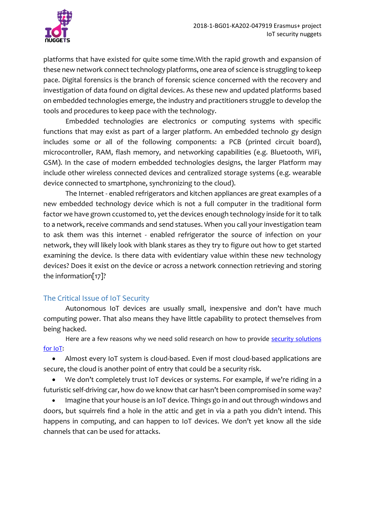

platforms that have existed for quite some time.With the rapid growth and expansion of these new network connect technology platforms, one area of science is struggling to keep pace. Digital forensics is the branch of forensic science concerned with the recovery and investigation of data found on digital devices. As these new and updated platforms based on embedded technologies emerge, the industry and practitioners struggle to develop the tools and procedures to keep pace with the technology.

Embedded technologies are electronics or computing systems with specific functions that may exist as part of a larger platform. An embedded technolo gy design includes some or all of the following components: a PCB (printed circuit board), microcontroller, RAM, flash memory, and networking capabilities (e.g. Bluetooth, WiFi, GSM). In the case of modern embedded technologies designs, the larger Platform may include other wireless connected devices and centralized storage systems (e.g. wearable device connected to smartphone, synchronizing to the cloud).

The Internet - enabled refrigerators and kitchen appliances are great examples of a new embedded technology device which is not a full computer in the traditional form factor we have grown ccustomed to, yet the devices enough technology inside for it to talk to a network, receive commands and send statuses. When you call your investigation team to ask them was this internet - enabled refrigerator the source of infection on your network, they will likely look with blank stares as they try to figure out how to get started examining the device. Is there data with evidentiary value within these new technology devices? Does it exist on the device or across a network connection retrieving and storing the information[17]?

#### <span id="page-7-0"></span>The Critical Issue of IoT Security

Autonomous IoT devices are usually small, inexpensive and don't have much computing power. That also means they have little capability to protect themselves from being hacked.

Here are a few reasons why we need solid research on how to provide [security solutions](https://edtechmagazine.com/higher/article/2018/05/security-spending-on-internet-of-things-hits-new-high)  [for IoT:](https://edtechmagazine.com/higher/article/2018/05/security-spending-on-internet-of-things-hits-new-high)

 Almost every IoT system is cloud-based. Even if most cloud-based applications are secure, the cloud is another point of entry that could be a security risk.

We don't completely trust IoT devices or systems. For example, if we're riding in a futuristic self-driving car, how do we know that car hasn't been compromised in some way?

 Imagine that your house is an IoT device. Things go in and out through windows and doors, but squirrels find a hole in the attic and get in via a path you didn't intend. This happens in computing, and can happen to IoT devices. We don't yet know all the side channels that can be used for attacks.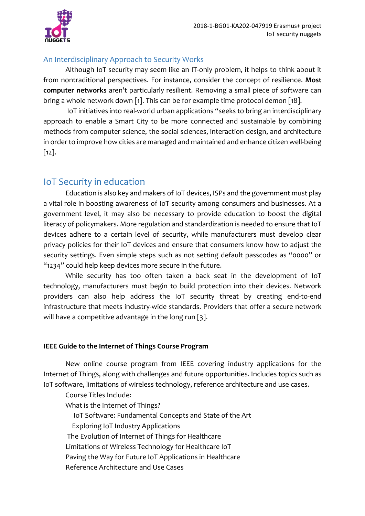

#### <span id="page-8-0"></span>An Interdisciplinary Approach to Security Works

Although IoT security may seem like an IT-only problem, it helps to think about it from nontraditional perspectives. For instance, consider the concept of resilience. **Most computer networks** aren't particularly resilient. Removing a small piece of software can bring a whole network down [1]. This can be for example time protocol demon [18].

IoT initiatives into real-world urban applications "seeks to bring an interdisciplinary approach to enable a Smart City to be more connected and sustainable by combining methods from computer science, the social sciences, interaction design, and architecture in order to improve how cities are managed and maintained and enhance citizen well-being  $[12]$ .

## <span id="page-8-1"></span>IoT Security in education

Education is also key and makers of IoT devices, ISPs and the government must play a vital role in boosting awareness of IoT security among consumers and businesses. At a government level, it may also be necessary to provide education to boost the digital literacy of policymakers. More regulation and standardization is needed to ensure that IoT devices adhere to a certain level of security, while manufacturers must develop clear privacy policies for their IoT devices and ensure that consumers know how to adjust the security settings. Even simple steps such as not setting default passcodes as "0000" or "1234" could help keep devices more secure in the future.

While security has too often taken a back seat in the development of IoT technology, manufacturers must begin to build protection into their devices. Network providers can also help address the IoT security threat by creating end-to-end infrastructure that meets industry-wide standards. Providers that offer a secure network will have a competitive advantage in the long run [3].

#### **IEEE Guide to the Internet of Things Course Program**

New online course program from IEEE covering industry applications for the Internet of Things, along with challenges and future opportunities. Includes topics such as IoT software, limitations of wireless technology, reference architecture and use cases.

Course Titles Include: What is the Internet of Things? IoT Software: Fundamental Concepts and State of the Art Exploring IoT Industry Applications The Evolution of Internet of Things for Healthcare Limitations of Wireless Technology for Healthcare IoT Paving the Way for Future IoT Applications in Healthcare Reference Architecture and Use Cases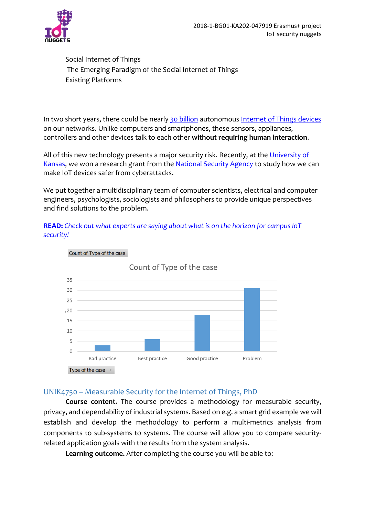

Social Internet of Things The Emerging Paradigm of the Social Internet of Things Existing Platforms

In two short years, there could be nearly [30 billion](https://www.business.att.com/content/article/IoT-worldwide_regional_2014-2020-forecast.pdf) autonomous [Internet of Things devices](https://edtechmagazine.com/higher/article/2018/06/4-innovative-internet-things-applications-horizon) on our networks. Unlike computers and smartphones, these sensors, appliances, controllers and other devices talk to each other **without requiring human interaction**.

All of this new technology presents a major security risk. Recently, at the University of [Kansas,](https://ku.edu/) we won a research grant from the [National Security Agency](https://www.nsa.gov/) to study how we can make IoT devices safer from cyberattacks.

We put together a multidisciplinary team of computer scientists, electrical and computer engineers, psychologists, sociologists and philosophers to provide unique perspectives and find solutions to the problem.





Count of Type of the case

Count of Type of the case

#### <span id="page-9-0"></span>UNIK4750 – Measurable Security for the Internet of Things, PhD

**Course content.** The course provides a methodology for measurable security, privacy, and dependability of industrial systems. Based on e.g. a smart grid example we will establish and develop the methodology to perform a multi-metrics analysis from components to sub-systems to systems. The course will allow you to compare securityrelated application goals with the results from the system analysis.

**Learning outcome.** After completing the course you will be able to: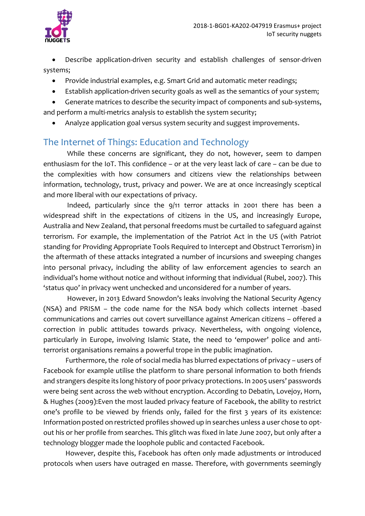

 Describe application-driven security and establish challenges of sensor-driven systems;

- Provide industrial examples, e.g. Smart Grid and automatic meter readings;
- Establish application-driven security goals as well as the semantics of your system;

 Generate matrices to describe the security impact of components and sub-systems, and perform a multi-metrics analysis to establish the system security;

Analyze application goal versus system security and suggest improvements.

# <span id="page-10-0"></span>The Internet of Things: Education and Technology

While these concerns are significant, they do not, however, seem to dampen enthusiasm for the IoT. This confidence – or at the very least lack of care – can be due to the complexities with how consumers and citizens view the relationships between information, technology, trust, privacy and power. We are at once increasingly sceptical and more liberal with our expectations of privacy.

Indeed, particularly since the 9/11 terror attacks in 2001 there has been a widespread shift in the expectations of citizens in the US, and increasingly Europe, Australia and New Zealand, that personal freedoms must be curtailed to safeguard against terrorism. For example, the implementation of the Patriot Act in the US (with Patriot standing for Providing Appropriate Tools Required to Intercept and Obstruct Terrorism) in the aftermath of these attacks integrated a number of incursions and sweeping changes into personal privacy, including the ability of law enforcement agencies to search an individual's home without notice and without informing that individual (Rubel, 2007). This 'status quo' in privacy went unchecked and unconsidered for a number of years.

However, in 2013 Edward Snowdon's leaks involving the National Security Agency (NSA) and PRISM – the code name for the NSA body which collects internet -based communications and carries out covert surveillance against American citizens – offered a correction in public attitudes towards privacy. Nevertheless, with ongoing violence, particularly in Europe, involving Islamic State, the need to 'empower' police and antiterrorist organisations remains a powerful trope in the public imagination.

Furthermore, the role of social media has blurred expectations of privacy – users of Facebook for example utilise the platform to share personal information to both friends and strangers despite its long history of poor privacy protections. In 2005 users' passwords were being sent across the web without encryption. According to Debatin, Lovejoy, Horn, & Hughes (2009):Even the most lauded privacy feature of Facebook, the ability to restrict one's profile to be viewed by friends only, failed for the first 3 years of its existence: Information posted on restricted profiles showed up in searches unless a user chose to optout his or her profile from searches. This glitch was fixed in late June 2007, but only after a technology blogger made the loophole public and contacted Facebook.

However, despite this, Facebook has often only made adjustments or introduced protocols when users have outraged en masse. Therefore, with governments seemingly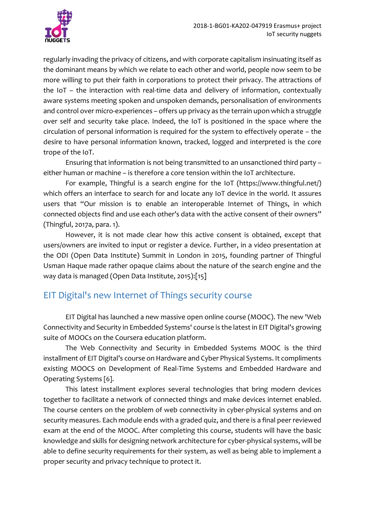

regularly invading the privacy of citizens, and with corporate capitalism insinuating itself as the dominant means by which we relate to each other and world, people now seem to be more willing to put their faith in corporations to protect their privacy. The attractions of the IoT – the interaction with real-time data and delivery of information, contextually aware systems meeting spoken and unspoken demands, personalisation of environments and control over micro-experiences – offers up privacy as the terrain upon which a struggle over self and security take place. Indeed, the IoT is positioned in the space where the circulation of personal information is required for the system to effectively operate – the desire to have personal information known, tracked, logged and interpreted is the core trope of the IoT.

Ensuring that information is not being transmitted to an unsanctioned third party – either human or machine – is therefore a core tension within the IoT architecture.

For example, Thingful is a search engine for the IoT (https://www.thingful.net/) which offers an interface to search for and locate any IoT device in the world. It assures users that "Our mission is to enable an interoperable Internet of Things, in which connected objects find and use each other's data with the active consent of their owners" (Thingful, 2017a, para. 1).

However, it is not made clear how this active consent is obtained, except that users/owners are invited to input or register a device. Further, in a video presentation at the ODI (Open Data Institute) Summit in London in 2015, founding partner of Thingful Usman Haque made rather opaque claims about the nature of the search engine and the way data is managed (Open Data Institute, 2015):[15]

# <span id="page-11-0"></span>EIT Digital's new Internet of Things security course

EIT Digital has launched a new massive open online course (MOOC). The new 'Web Connectivity and Security in Embedded Systems' course is the latest in EIT Digital's growing suite of MOOCs on the Coursera education platform.

The [Web Connectivity and Security in Embedded Systems MOOC](https://www.coursera.org/learn/iot-connectivity-security) is the third installment of EIT Digital's course on Hardware and Cyber Physical Systems. It compliments existing MOOCS on [Development of Real-Time Systems](https://www.coursera.org/learn/real-time-systems) and [Embedded Hardware and](https://www.coursera.org/learn/embedded-operating-system)  [Operating Systems](https://www.coursera.org/learn/embedded-operating-system) [6].

This latest installment explores several technologies that bring modern devices together to facilitate a network of connected things and make devices internet enabled. The course centers on the problem of web connectivity in cyber-physical systems and on security measures. Each module ends with a graded quiz, and there is a final peer reviewed exam at the end of the MOOC. After completing this course, students will have the basic knowledge and skills for designing network architecture for cyber-physical systems, will be able to define security requirements for their system, as well as being able to implement a proper security and privacy technique to protect it.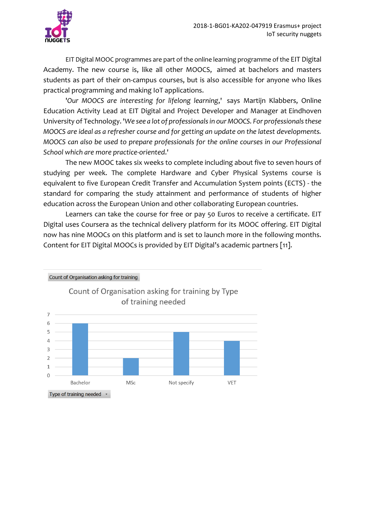

EIT Digital MOOC programmes are part of the online learning programme of the [EIT Digital](http://www.eitdigital.eu/eit-digital-academy/overview/)  [Academy.](http://www.eitdigital.eu/eit-digital-academy/overview/) The new course is, like all other MOOCS, aimed at bachelors and masters students as part of their on-campus courses, but is also accessible for anyone who likes practical programming and making IoT applications.

'*Our MOOCS are interesting for lifelong learning*,' says Martijn Klabbers, Online Education Activity Lead at EIT Digital and Project Developer and Manager at [Eindhoven](https://www.tue.nl/)  [University of Technology.](https://www.tue.nl/) '*We see a lot of professionals in our MOOCS. For professionals these MOOCS are ideal as a refresher course and for getting an update on the latest developments. MOOCS can also be used to prepare professionals for the online courses in our Professional School which are more practice-oriented*.'

The new MOOC takes six weeks to complete including about five to seven hours of studying per week. The complete Hardware and Cyber Physical Systems course is equivalent to five European Credit Transfer and Accumulation System points (ECTS) - the standard for comparing the study attainment and performance of students of higher education across the European Union and other collaborating European countries.

Learners can take the course for free or pay 50 Euros to receive a certificate. EIT Digital uses Coursera as the technical delivery platform for its MOOC offering. EIT Digital now has nine MOOCs on this platform and is set to launch more in the following months. Content for EIT Digital MOOCs is provided by EIT Digital's academic partners [11].

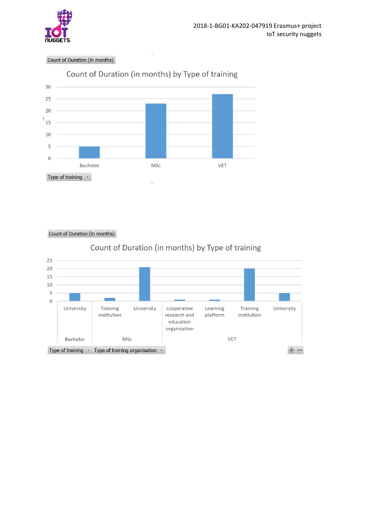

Count of Duration (in months)



Count of Duration (in months) by Type of training

Count of Duration (in months)



#### Count of Duration (in months) by Type of training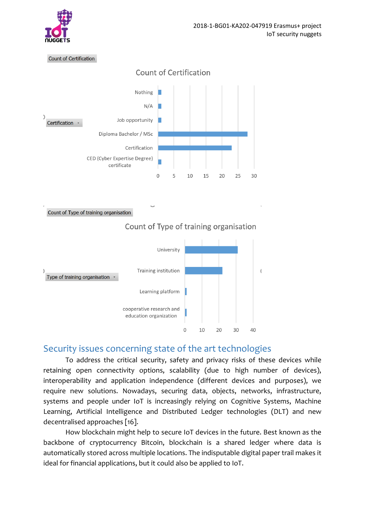

40

30

Count of Certification Count of Certification Nothing  $N/A$  $\overline{)}$ Job opportunity Certification -Diploma Bachelor / MSc Certification CED (Cyber Expertise Degree) certificate 30  $\overline{0}$ 5 10 15 20 25 Count of Type of training organisation Count of Type of training organisation University Training institution  $\overline{\mathbb{C}}$ Type of training organisation -Learning platform cooperative research and education organization

#### <span id="page-14-0"></span>Security issues concerning state of the art technologies

To address the critical security, safety and privacy risks of these devices while retaining open connectivity options, scalability (due to high number of devices), interoperability and application independence (different devices and purposes), we require new solutions. Nowadays, securing data, objects, networks, infrastructure, systems and people under IoT is increasingly relying on Cognitive Systems, Machine Learning, Artificial Intelligence and [Distributed Ledger technologies](https://www.swift.com/your-needs/distributed-ledger-technology-dlt) (DLT) and new decentralised approaches [16].

 $\overline{0}$ 

10

20

How blockchain might help to secure IoT devices in the future. Best known as the backbone of cryptocurrency Bitcoin, blockchain is a shared ledger where data is automatically stored across multiple locations. The indisputable digital paper trail makes it ideal for financial applications, but it could also be applied to IoT.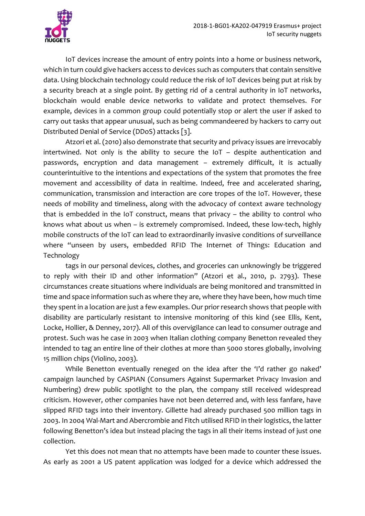IoT devices increase the amount of entry points into a home or business network, which in turn could give hackers access to devices such as computers that contain sensitive data. Using blockchain technology could reduce the risk of IoT devices being put at risk by a security breach at a single point. By getting rid of a central authority in IoT networks, blockchain would enable device networks to validate and protect themselves. For example, devices in a common group could potentially stop or alert the user if asked to carry out tasks that appear unusual, such as being commandeered by hackers to carry out Distributed Denial of Service (DDoS) attacks [3].

Atzori et al. (2010) also demonstrate that security and privacy issues are irrevocably intertwined. Not only is the ability to secure the IoT – despite authentication and passwords, encryption and data management – extremely difficult, it is actually counterintuitive to the intentions and expectations of the system that promotes the free movement and accessibility of data in realtime. Indeed, free and accelerated sharing, communication, transmission and interaction are core tropes of the IoT. However, these needs of mobility and timeliness, along with the advocacy of context aware technology that is embedded in the IoT construct, means that privacy – the ability to control who knows what about us when – is extremely compromised. Indeed, these low-tech, highly mobile constructs of the IoT can lead to extraordinarily invasive conditions of surveillance where "unseen by users, embedded RFID The Internet of Things: Education and Technology

tags in our personal devices, clothes, and groceries can unknowingly be triggered to reply with their ID and other information" (Atzori et al., 2010, p. 2793). These circumstances create situations where individuals are being monitored and transmitted in time and space information such as where they are, where they have been, how much time they spent in a location are just a few examples. Our prior research shows that people with disability are particularly resistant to intensive monitoring of this kind (see Ellis, Kent, Locke, Hollier, & Denney, 2017). All of this overvigilance can lead to consumer outrage and protest. Such was he case in 2003 when Italian clothing company Benetton revealed they intended to tag an entire line of their clothes at more than 5000 stores globally, involving 15 million chips (Violino, 2003).

While Benetton eventually reneged on the idea after the 'I'd rather go naked' campaign launched by CASPIAN (Consumers Against Supermarket Privacy Invasion and Numbering) drew public spotlight to the plan, the company still received widespread criticism. However, other companies have not been deterred and, with less fanfare, have slipped RFID tags into their inventory. Gillette had already purchased 500 million tags in 2003. In 2004 Wal-Mart and Abercrombie and Fitch utilised RFID in their logistics, the latter following Benetton's idea but instead placing the tags in all their items instead of just one collection.

Yet this does not mean that no attempts have been made to counter these issues. As early as 2001 a US patent application was lodged for a device which addressed the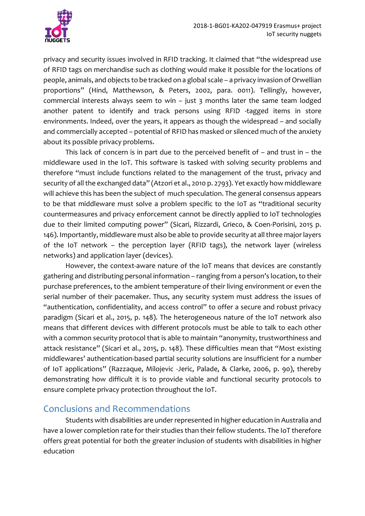

privacy and security issues involved in RFID tracking. It claimed that "the widespread use of RFID tags on merchandise such as clothing would make it possible for the locations of people, animals, and objects to be tracked on a global scale – a privacy invasion of Orwellian proportions" (Hind, Matthewson, & Peters, 2002, para. 0011). Tellingly, however, commercial interests always seem to win  $-$  just 3 months later the same team lodged another patent to identify and track persons using RFID -tagged items in store environments. Indeed, over the years, it appears as though the widespread – and socially and commercially accepted – potential of RFID has masked or silenced much of the anxiety about its possible privacy problems.

This lack of concern is in part due to the perceived benefit of – and trust in – the middleware used in the IoT. This software is tasked with solving security problems and therefore "must include functions related to the management of the trust, privacy and security of all the exchanged data" (Atzori et al., 2010 p. 2793). Yet exactly how middleware will achieve this has been the subject of much speculation. The general consensus appears to be that middleware must solve a problem specific to the IoT as "traditional security countermeasures and privacy enforcement cannot be directly applied to IoT technologies due to their limited computing power" (Sicari, Rizzardi, Grieco, & Coen-Porisini, 2015 p. 146). Importantly, middleware must also be able to provide security at all three major layers of the IoT network – the perception layer (RFID tags), the network layer (wireless networks) and application layer (devices).

However, the context-aware nature of the IoT means that devices are constantly gathering and distributing personal information – ranging from a person's location, to their purchase preferences, to the ambient temperature of their living environment or even the serial number of their pacemaker. Thus, any security system must address the issues of "authentication, confidentiality, and access control" to offer a secure and robust privacy paradigm (Sicari et al., 2015, p. 148). The heterogeneous nature of the IoT network also means that different devices with different protocols must be able to talk to each other with a common security protocol that is able to maintain "anonymity, trustworthiness and attack resistance" (Sicari et al., 2015, p. 148). These difficulties mean that "Most existing middlewares' authentication-based partial security solutions are insufficient for a number of IoT applications" (Razzaque, Milojevic -Jeric, Palade, & Clarke, 2006, p. 90), thereby demonstrating how difficult it is to provide viable and functional security protocols to ensure complete privacy protection throughout the IoT.

# <span id="page-16-0"></span>Conclusions and Recommendations

Students with disabilities are under represented in higher education in Australia and have a lower completion rate for their studies than their fellow students. The IoT therefore offers great potential for both the greater inclusion of students with disabilities in higher education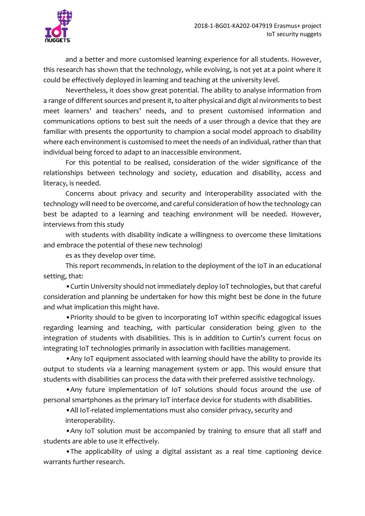

and a better and more customised learning experience for all students. However, this research has shown that the technology, while evolving, is not yet at a point where it could be effectively deployed in learning and teaching at the university level.

Nevertheless, it does show great potential. The ability to analyse information from a range of different sources and present it, to alter physical and digit al nvironments to best meet learners' and teachers' needs, and to present customised information and communications options to best suit the needs of a user through a device that they are familiar with presents the opportunity to champion a social model approach to disability where each environment is customised to meet the needs of an individual, rather than that individual being forced to adapt to an inaccessible environment.

For this potential to be realised, consideration of the wider significance of the relationships between technology and society, education and disability, access and literacy, is needed.

Concerns about privacy and security and interoperability associated with the technology will need to be overcome, and careful consideration of how the technology can best be adapted to a learning and teaching environment will be needed. However, interviews from this study

with students with disability indicate a willingness to overcome these limitations and embrace the potential of these new technologi

es as they develop over time.

This report recommends, in relation to the deployment of the IoT in an educational setting, that:

•Curtin University should not immediately deploy IoT technologies, but that careful consideration and planning be undertaken for how this might best be done in the future and what implication this might have.

•Priority should to be given to incorporating IoT within specific edagogical issues regarding learning and teaching, with particular consideration being given to the integration of students with disabilities. This is in addition to Curtin's current focus on integrating IoT technologies primarily in association with facilities management.

•Any IoT equipment associated with learning should have the ability to provide its output to students via a learning management system or app. This would ensure that students with disabilities can process the data with their preferred assistive technology.

•Any future implementation of IoT solutions should focus around the use of personal smartphones as the primary IoT interface device for students with disabilities.

•All IoT-related implementations must also consider privacy, security and interoperability.

•Any IoT solution must be accompanied by training to ensure that all staff and students are able to use it effectively.

•The applicability of using a digital assistant as a real time captioning device warrants further research.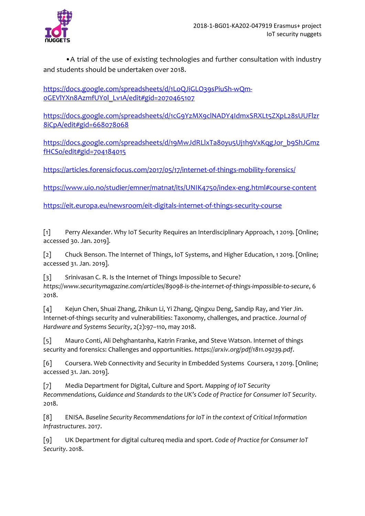

•A trial of the use of existing technologies and further consultation with industry and students should be undertaken over 2018.

#### [https://docs.google.com/spreadsheets/d/1LoQJiGLO39sPiuSh-wQm-](https://docs.google.com/spreadsheets/d/1LoQJiGLO39sPiuSh-wQm-0GEVlYXn8AzmfUY0l_Lv1A/edit#gid=2070465107)[0GEVlYXn8AzmfUY0l\\_Lv1A/edit#gid=2070465107](https://docs.google.com/spreadsheets/d/1LoQJiGLO39sPiuSh-wQm-0GEVlYXn8AzmfUY0l_Lv1A/edit#gid=2070465107)

[https://docs.google.com/spreadsheets/d/1cG9YzMX9clNADY4IdmxSRXLt5ZXpL28sUUFlzr](https://docs.google.com/spreadsheets/d/1cG9YzMX9clNADY4IdmxSRXLt5ZXpL28sUUFlzr8iCpA/edit#gid=668078068) [8iCpA/edit#gid=668078068](https://docs.google.com/spreadsheets/d/1cG9YzMX9clNADY4IdmxSRXLt5ZXpL28sUUFlzr8iCpA/edit#gid=668078068)

[https://docs.google.com/spreadsheets/d/19MwJdRLlxTa80yu5Uj1h9VxKqgJor\\_b9ShJGmz](https://docs.google.com/spreadsheets/d/19MwJdRLlxTa80yu5Uj1h9VxKqgJor_b9ShJGmzfHCSo/edit#gid=704184015) [fHCSo/edit#gid=704184015](https://docs.google.com/spreadsheets/d/19MwJdRLlxTa80yu5Uj1h9VxKqgJor_b9ShJGmzfHCSo/edit#gid=704184015)

<https://articles.forensicfocus.com/2017/05/17/internet-of-things-mobility-forensics/>

<https://www.uio.no/studier/emner/matnat/its/UNIK4750/index-eng.html#course-content>

<https://eit.europa.eu/newsroom/eit-digitals-internet-of-things-security-course>

[1] Perry Alexander. Why IoT Security Requires an Interdisciplinary Approach, 1 2019. [Online; accessed 30. Jan. 2019].

[2] Chuck Benson. The Internet of Things, IoT Systems, and Higher Education, 1 2019. [Online; accessed 31. Jan. 2019].

[3] Srinivasan C. R. Is the Internet of Things Impossible to Secure? *https://www.securitymagazine.com/articles/89098-is-the-internet-of-things-impossible-to-secure*, 6 2018.

[4] Kejun Chen, Shuai Zhang, Zhikun Li, Yi Zhang, Qingxu Deng, Sandip Ray, and Yier Jin. Internet-of-things security and vulnerabilities: Taxonomy, challenges, and practice. *Journal of Hardware and Systems Security*, 2(2):97–110, may 2018.

[5] Mauro Conti, Ali Dehghantanha, Katrin Franke, and Steve Watson. Internet of things security and forensics: Challenges and opportunities. *https://arxiv.org/pdf/1811.09239.pdf*.

[6] Coursera. Web Connectivity and Security in Embedded Systems Coursera, 1 2019. [Online; accessed 31. Jan. 2019].

[7] Media Department for Digital, Culture and Sport. *Mapping of IoT Security Recommendations, Guidance and Standards to the UK's Code of Practice for Consumer IoT Security*. 2018.

[8] ENISA. *Baseline Security Recommendations for IoT in the context of Critical Information Infrastructures*. 2017.

[9] UK Department for digital cultureq media and sport. *Code of Practice for Consumer IoT Security*. 2018.